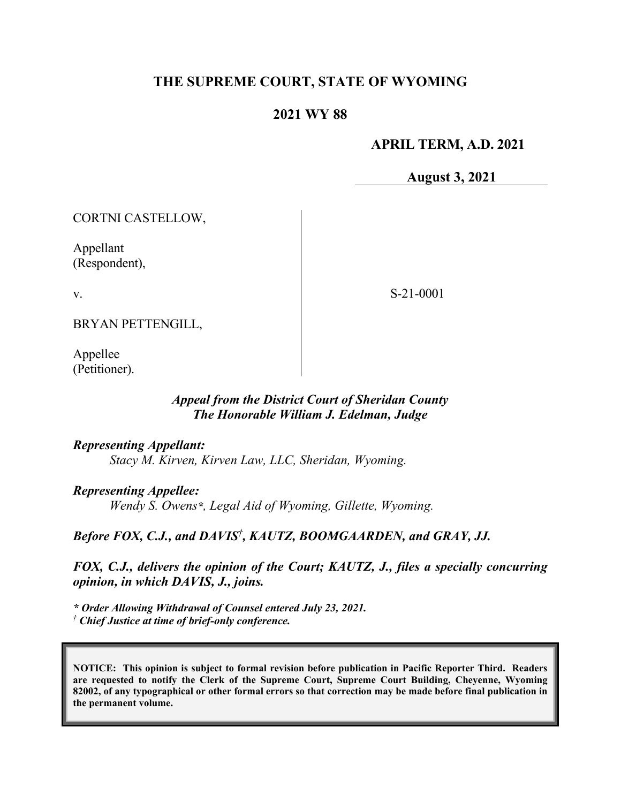# **THE SUPREME COURT, STATE OF WYOMING**

## **2021 WY 88**

## **APRIL TERM, A.D. 2021**

**August 3, 2021**

CORTNI CASTELLOW,

Appellant (Respondent),

v.

S-21-0001

BRYAN PETTENGILL,

Appellee (Petitioner).

## *Appeal from the District Court of Sheridan County The Honorable William J. Edelman, Judge*

*Representing Appellant:*

*Stacy M. Kirven, Kirven Law, LLC, Sheridan, Wyoming.*

#### *Representing Appellee:*

*Wendy S. Owens\*, Legal Aid of Wyoming, Gillette, Wyoming.*

## Before FOX, C.J., and DAVIS<sup>†</sup>, KAUTZ, BOOMGAARDEN, and GRAY, JJ.

*FOX, C.J., delivers the opinion of the Court; KAUTZ, J., files a specially concurring opinion, in which DAVIS, J., joins.*

*\* Order Allowing Withdrawal of Counsel entered July 23, 2021. † Chief Justice at time of brief-only conference.*

**NOTICE: This opinion is subject to formal revision before publication in Pacific Reporter Third. Readers are requested to notify the Clerk of the Supreme Court, Supreme Court Building, Cheyenne, Wyoming 82002, of any typographical or other formal errors so that correction may be made before final publication in the permanent volume.**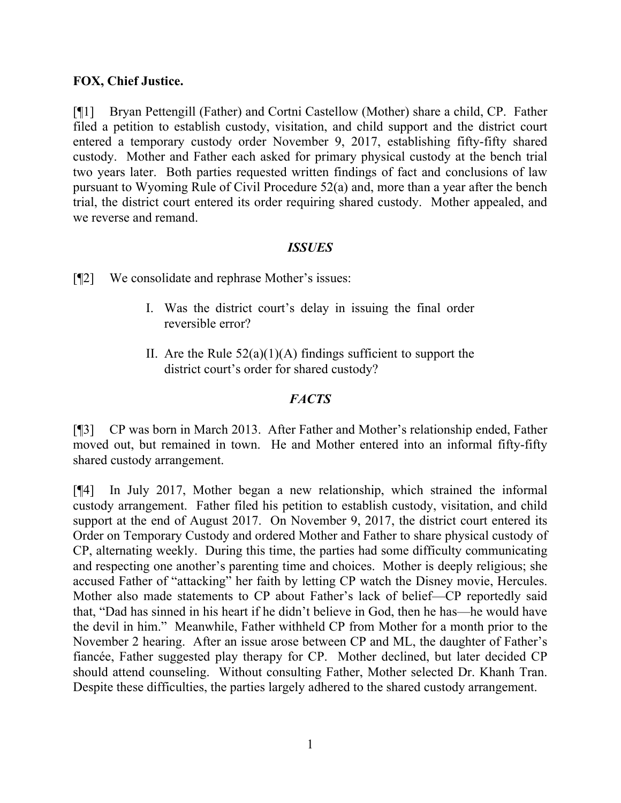#### **FOX, Chief Justice.**

[¶1] Bryan Pettengill (Father) and Cortni Castellow (Mother) share a child, CP. Father filed a petition to establish custody, visitation, and child support and the district court entered a temporary custody order November 9, 2017, establishing fifty-fifty shared custody. Mother and Father each asked for primary physical custody at the bench trial two years later. Both parties requested written findings of fact and conclusions of law pursuant to Wyoming Rule of Civil Procedure 52(a) and, more than a year after the bench trial, the district court entered its order requiring shared custody. Mother appealed, and we reverse and remand.

#### *ISSUES*

[¶2] We consolidate and rephrase Mother's issues:

- I. Was the district court's delay in issuing the final order reversible error?
- II. Are the Rule  $52(a)(1)(A)$  findings sufficient to support the district court's order for shared custody?

## *FACTS*

[¶3] CP was born in March 2013. After Father and Mother's relationship ended, Father moved out, but remained in town. He and Mother entered into an informal fifty-fifty shared custody arrangement.

[¶4] In July 2017, Mother began a new relationship, which strained the informal custody arrangement. Father filed his petition to establish custody, visitation, and child support at the end of August 2017. On November 9, 2017, the district court entered its Order on Temporary Custody and ordered Mother and Father to share physical custody of CP, alternating weekly. During this time, the parties had some difficulty communicating and respecting one another's parenting time and choices. Mother is deeply religious; she accused Father of "attacking" her faith by letting CP watch the Disney movie, Hercules. Mother also made statements to CP about Father's lack of belief—CP reportedly said that, "Dad has sinned in his heart if he didn't believe in God, then he has—he would have the devil in him." Meanwhile, Father withheld CP from Mother for a month prior to the November 2 hearing. After an issue arose between CP and ML, the daughter of Father's fiancée, Father suggested play therapy for CP. Mother declined, but later decided CP should attend counseling. Without consulting Father, Mother selected Dr. Khanh Tran. Despite these difficulties, the parties largely adhered to the shared custody arrangement.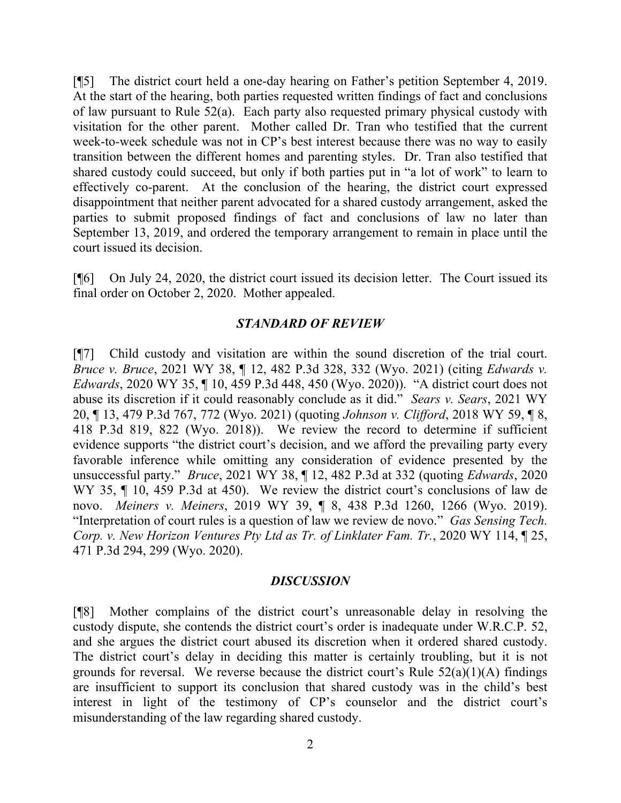[¶5] The district court held a one-day hearing on Father's petition September 4, 2019. At the start of the hearing, both parties requested written findings of fact and conclusions of law pursuant to Rule 52(a). Each party also requested primary physical custody with visitation for the other parent. Mother called Dr. Tran who testified that the current week-to-week schedule was not in CP's best interest because there was no way to easily transition between the different homes and parenting styles. Dr. Tran also testified that shared custody could succeed, but only if both parties put in "a lot of work" to learn to effectively co-parent. At the conclusion of the hearing, the district court expressed disappointment that neither parent advocated for a shared custody arrangement, asked the parties to submit proposed findings of fact and conclusions of law no later than September 13, 2019, and ordered the temporary arrangement to remain in place until the court issued its decision.

[¶6] On July 24, 2020, the district court issued its decision letter. The Court issued its final order on October 2, 2020. Mother appealed.

#### *STANDARD OF REVIEW*

[¶7] Child custody and visitation are within the sound discretion of the trial court. *Bruce v. Bruce*, 2021 WY 38, ¶ 12, 482 P.3d 328, 332 (Wyo. 2021) (citing *Edwards v. Edwards*, 2020 WY 35, ¶ 10, 459 P.3d 448, 450 (Wyo. 2020)). "A district court does not abuse its discretion if it could reasonably conclude as it did." *Sears v. Sears*, 2021 WY 20, ¶ 13, 479 P.3d 767, 772 (Wyo. 2021) (quoting *Johnson v. Clifford*, 2018 WY 59, ¶ 8, 418 P.3d 819, 822 (Wyo. 2018)). We review the record to determine if sufficient evidence supports "the district court's decision, and we afford the prevailing party every favorable inference while omitting any consideration of evidence presented by the unsuccessful party." *Bruce*, 2021 WY 38, ¶ 12, 482 P.3d at 332 (quoting *Edwards*, 2020 WY 35,  $\P$  10, 459 P.3d at 450). We review the district court's conclusions of law de novo. *Meiners v. Meiners*, 2019 WY 39, ¶ 8, 438 P.3d 1260, 1266 (Wyo. 2019). "Interpretation of court rules is a question of law we review de novo." *Gas Sensing Tech. Corp. v. New Horizon Ventures Pty Ltd as Tr. of Linklater Fam. Tr.*, 2020 WY 114, ¶ 25, 471 P.3d 294, 299 (Wyo. 2020).

#### *DISCUSSION*

[¶8] Mother complains of the district court's unreasonable delay in resolving the custody dispute, she contends the district court's order is inadequate under W.R.C.P. 52, and she argues the district court abused its discretion when it ordered shared custody. The district court's delay in deciding this matter is certainly troubling, but it is not grounds for reversal. We reverse because the district court's Rule  $52(a)(1)(A)$  findings are insufficient to support its conclusion that shared custody was in the child's best interest in light of the testimony of CP's counselor and the district court's misunderstanding of the law regarding shared custody.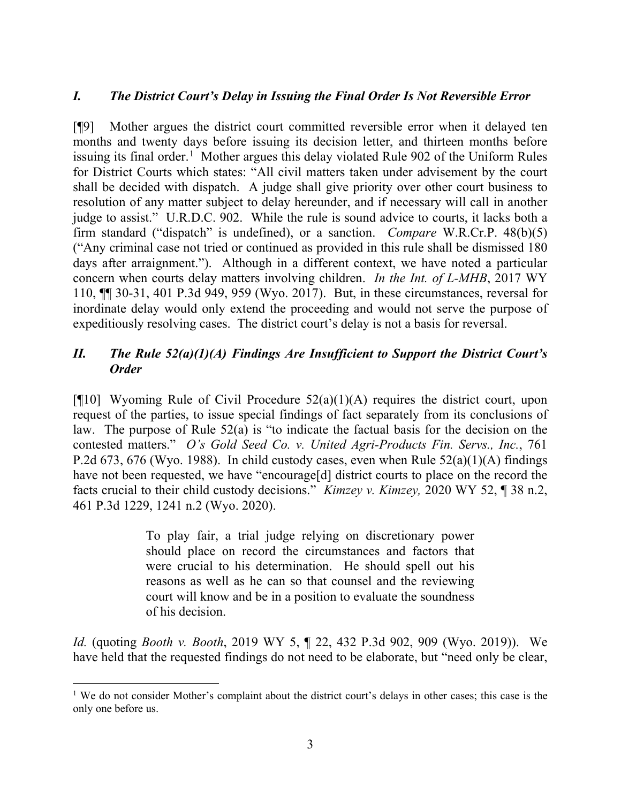## *I. The District Court's Delay in Issuing the Final Order Is Not Reversible Error*

[¶9] Mother argues the district court committed reversible error when it delayed ten months and twenty days before issuing its decision letter, and thirteen months before issuing its final order.<sup>[1](#page-3-0)</sup> Mother argues this delay violated Rule 902 of the Uniform Rules for District Courts which states: "All civil matters taken under advisement by the court shall be decided with dispatch. A judge shall give priority over other court business to resolution of any matter subject to delay hereunder, and if necessary will call in another judge to assist." U.R.D.C. 902. While the rule is sound advice to courts, it lacks both a firm standard ("dispatch" is undefined), or a sanction. *Compare* W.R.Cr.P. 48(b)(5) ("Any criminal case not tried or continued as provided in this rule shall be dismissed 180 days after arraignment."). Although in a different context, we have noted a particular concern when courts delay matters involving children. *In the Int. of L-MHB*, 2017 WY 110, ¶¶ 30-31, 401 P.3d 949, 959 (Wyo. 2017). But, in these circumstances, reversal for inordinate delay would only extend the proceeding and would not serve the purpose of expeditiously resolving cases. The district court's delay is not a basis for reversal.

# *II. The Rule 52(a)(1)(A) Findings Are Insufficient to Support the District Court's Order*

[ $[10]$ ] Wyoming Rule of Civil Procedure  $52(a)(1)(A)$  requires the district court, upon request of the parties, to issue special findings of fact separately from its conclusions of law. The purpose of Rule 52(a) is "to indicate the factual basis for the decision on the contested matters." *O's Gold Seed Co. v. United Agri-Products Fin. Servs., Inc.*, 761 P.2d 673, 676 (Wyo. 1988). In child custody cases, even when Rule  $52(a)(1)(A)$  findings have not been requested, we have "encourage[d] district courts to place on the record the facts crucial to their child custody decisions." *Kimzey v. Kimzey,* 2020 WY 52, ¶ 38 n.2, 461 P.3d 1229, 1241 n.2 (Wyo. 2020).

> To play fair, a trial judge relying on discretionary power should place on record the circumstances and factors that were crucial to his determination. He should spell out his reasons as well as he can so that counsel and the reviewing court will know and be in a position to evaluate the soundness of his decision.

*Id.* (quoting *Booth v. Booth*, 2019 WY 5, ¶ 22, 432 P.3d 902, 909 (Wyo. 2019)).We have held that the requested findings do not need to be elaborate, but "need only be clear,

<span id="page-3-0"></span><sup>&</sup>lt;sup>1</sup> We do not consider Mother's complaint about the district court's delays in other cases; this case is the only one before us.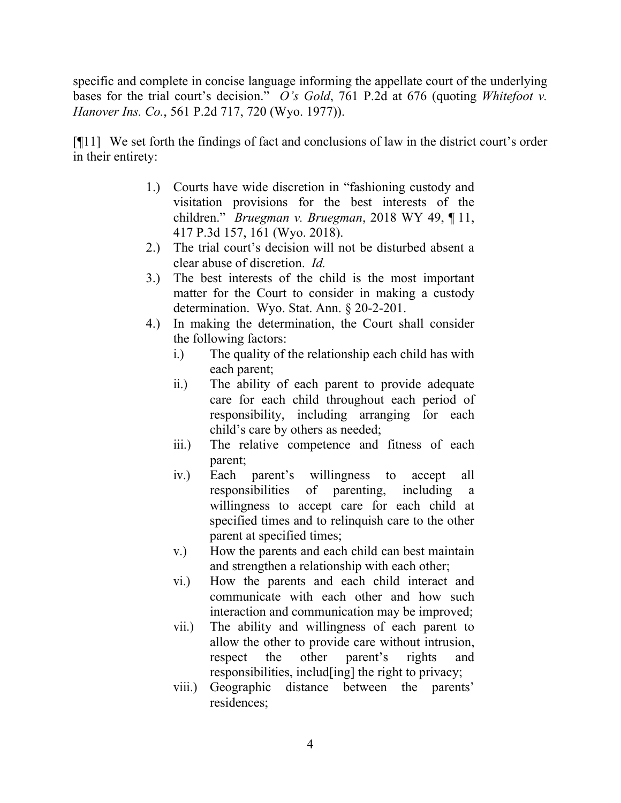specific and complete in concise language informing the appellate court of the underlying bases for the trial court's decision." *O's Gold*, 761 P.2d at 676 (quoting *Whitefoot v. Hanover Ins. Co.*, 561 P.2d 717, 720 (Wyo. 1977)).

[¶11] We set forth the findings of fact and conclusions of law in the district court's order in their entirety:

- 1.) Courts have wide discretion in "fashioning custody and visitation provisions for the best interests of the children." *Bruegman v. Bruegman*, 2018 WY 49, ¶ 11, 417 P.3d 157, 161 (Wyo. 2018).
- 2.) The trial court's decision will not be disturbed absent a clear abuse of discretion. *Id.*
- 3.) The best interests of the child is the most important matter for the Court to consider in making a custody determination. Wyo. Stat. Ann. § 20-2-201.
- 4.) In making the determination, the Court shall consider the following factors:
	- i.) The quality of the relationship each child has with each parent;
	- ii.) The ability of each parent to provide adequate care for each child throughout each period of responsibility, including arranging for each child's care by others as needed;
	- iii.) The relative competence and fitness of each parent;
	- iv.) Each parent's willingness to accept all responsibilities of parenting, including a willingness to accept care for each child at specified times and to relinquish care to the other parent at specified times;
	- v.) How the parents and each child can best maintain and strengthen a relationship with each other;
	- vi.) How the parents and each child interact and communicate with each other and how such interaction and communication may be improved;
	- vii.) The ability and willingness of each parent to allow the other to provide care without intrusion, respect the other parent's rights and responsibilities, includ[ing] the right to privacy;
	- viii.) Geographic distance between the parents' residences;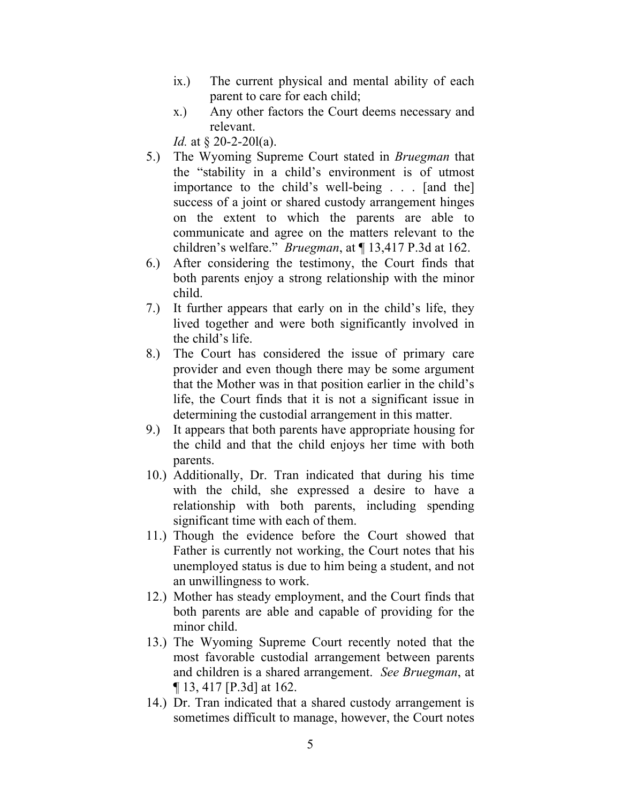- ix.) The current physical and mental ability of each parent to care for each child;
- x.) Any other factors the Court deems necessary and relevant.

*Id.* at § 20-2-201(a).

- 5.) The Wyoming Supreme Court stated in *Bruegman* that the "stability in a child's environment is of utmost importance to the child's well-being . . . [and the] success of a joint or shared custody arrangement hinges on the extent to which the parents are able to communicate and agree on the matters relevant to the children's welfare." *Bruegman*, at ¶ 13,417 P.3d at 162.
- 6.) After considering the testimony, the Court finds that both parents enjoy a strong relationship with the minor child.
- 7.) It further appears that early on in the child's life, they lived together and were both significantly involved in the child's life.
- 8.) The Court has considered the issue of primary care provider and even though there may be some argument that the Mother was in that position earlier in the child's life, the Court finds that it is not a significant issue in determining the custodial arrangement in this matter.
- 9.) It appears that both parents have appropriate housing for the child and that the child enjoys her time with both parents.
- 10.) Additionally, Dr. Tran indicated that during his time with the child, she expressed a desire to have a relationship with both parents, including spending significant time with each of them.
- 11.) Though the evidence before the Court showed that Father is currently not working, the Court notes that his unemployed status is due to him being a student, and not an unwillingness to work.
- 12.) Mother has steady employment, and the Court finds that both parents are able and capable of providing for the minor child.
- 13.) The Wyoming Supreme Court recently noted that the most favorable custodial arrangement between parents and children is a shared arrangement. *See Bruegman*, at ¶ 13, 417 [P.3d] at 162.
- 14.) Dr. Tran indicated that a shared custody arrangement is sometimes difficult to manage, however, the Court notes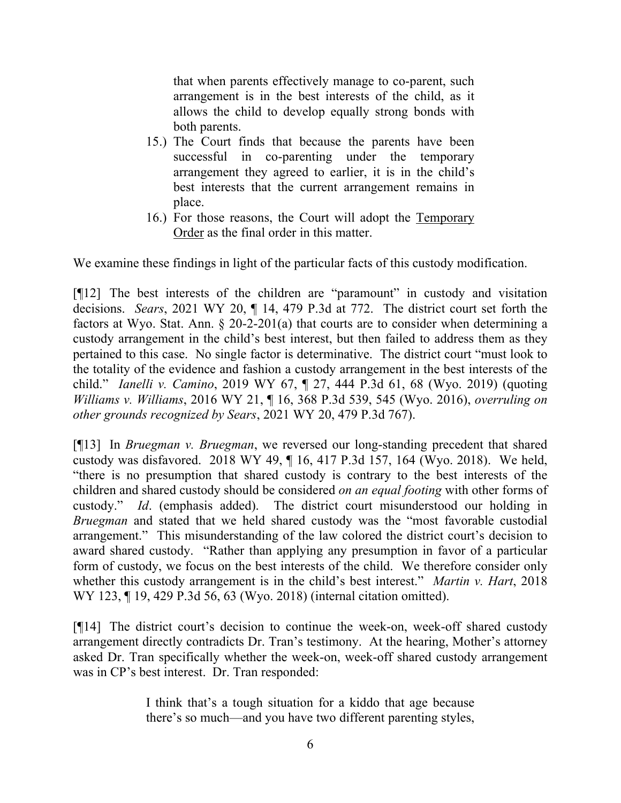that when parents effectively manage to co-parent, such arrangement is in the best interests of the child, as it allows the child to develop equally strong bonds with both parents.

- 15.) The Court finds that because the parents have been successful in co-parenting under the temporary arrangement they agreed to earlier, it is in the child's best interests that the current arrangement remains in place.
- 16.) For those reasons, the Court will adopt the Temporary Order as the final order in this matter.

We examine these findings in light of the particular facts of this custody modification.

[¶12] The best interests of the children are "paramount" in custody and visitation decisions. *Sears*, 2021 WY 20, ¶ 14, 479 P.3d at 772. The district court set forth the factors at Wyo. Stat. Ann.  $\S$  20-2-201(a) that courts are to consider when determining a custody arrangement in the child's best interest, but then failed to address them as they pertained to this case. No single factor is determinative. The district court "must look to the totality of the evidence and fashion a custody arrangement in the best interests of the child." *Ianelli v. Camino*, 2019 WY 67, ¶ 27, 444 P.3d 61, 68 (Wyo. 2019) (quoting *Williams v. Williams*, 2016 WY 21, ¶ 16, 368 P.3d 539, 545 (Wyo. 2016), *overruling on other grounds recognized by Sears*, 2021 WY 20, 479 P.3d 767).

[¶13] In *Bruegman v. Bruegman*, we reversed our long-standing precedent that shared custody was disfavored. 2018 WY 49, ¶ 16, 417 P.3d 157, 164 (Wyo. 2018). We held, "there is no presumption that shared custody is contrary to the best interests of the children and shared custody should be considered *on an equal footing* with other forms of custody." *Id*. (emphasis added). The district court misunderstood our holding in *Bruegman* and stated that we held shared custody was the "most favorable custodial arrangement." This misunderstanding of the law colored the district court's decision to award shared custody. "Rather than applying any presumption in favor of a particular form of custody, we focus on the best interests of the child. We therefore consider only whether this custody arrangement is in the child's best interest." *Martin v. Hart*, 2018 WY 123, ¶ 19, 429 P.3d 56, 63 (Wyo. 2018) (internal citation omitted).

[¶14] The district court's decision to continue the week-on, week-off shared custody arrangement directly contradicts Dr. Tran's testimony. At the hearing, Mother's attorney asked Dr. Tran specifically whether the week-on, week-off shared custody arrangement was in CP's best interest. Dr. Tran responded:

> I think that's a tough situation for a kiddo that age because there's so much—and you have two different parenting styles,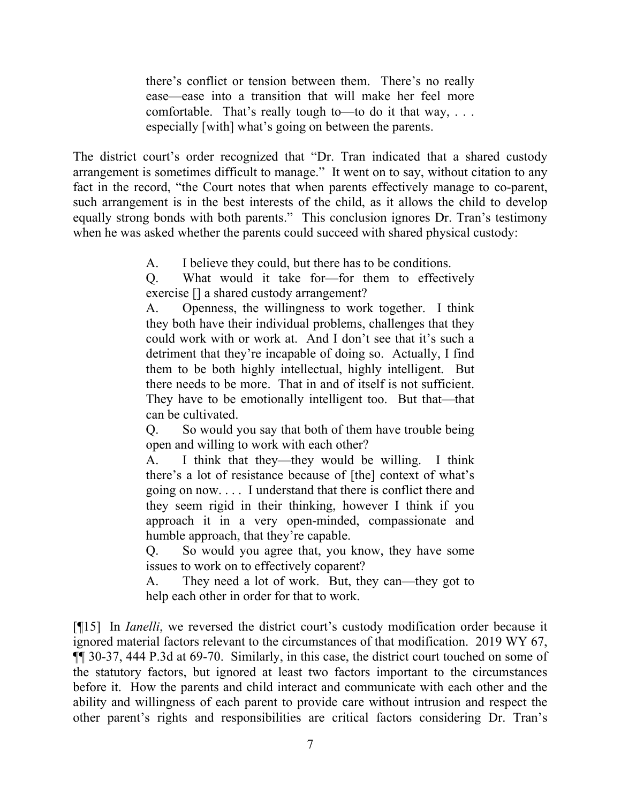there's conflict or tension between them. There's no really ease—ease into a transition that will make her feel more comfortable. That's really tough to—to do it that way, . . . especially [with] what's going on between the parents.

The district court's order recognized that "Dr. Tran indicated that a shared custody arrangement is sometimes difficult to manage." It went on to say, without citation to any fact in the record, "the Court notes that when parents effectively manage to co-parent, such arrangement is in the best interests of the child, as it allows the child to develop equally strong bonds with both parents." This conclusion ignores Dr. Tran's testimony when he was asked whether the parents could succeed with shared physical custody:

A. I believe they could, but there has to be conditions.

Q. What would it take for—for them to effectively exercise [] a shared custody arrangement?

A. Openness, the willingness to work together. I think they both have their individual problems, challenges that they could work with or work at. And I don't see that it's such a detriment that they're incapable of doing so. Actually, I find them to be both highly intellectual, highly intelligent. But there needs to be more. That in and of itself is not sufficient. They have to be emotionally intelligent too. But that—that can be cultivated.

Q. So would you say that both of them have trouble being open and willing to work with each other?

A. I think that they—they would be willing. I think there's a lot of resistance because of [the] context of what's going on now. . . . I understand that there is conflict there and they seem rigid in their thinking, however I think if you approach it in a very open-minded, compassionate and humble approach, that they're capable.

Q. So would you agree that, you know, they have some issues to work on to effectively coparent?

A. They need a lot of work. But, they can—they got to help each other in order for that to work.

[¶15] In *Ianelli*, we reversed the district court's custody modification order because it ignored material factors relevant to the circumstances of that modification. 2019 WY 67, ¶¶ 30-37, 444 P.3d at 69-70. Similarly, in this case, the district court touched on some of the statutory factors, but ignored at least two factors important to the circumstances before it. How the parents and child interact and communicate with each other and the ability and willingness of each parent to provide care without intrusion and respect the other parent's rights and responsibilities are critical factors considering Dr. Tran's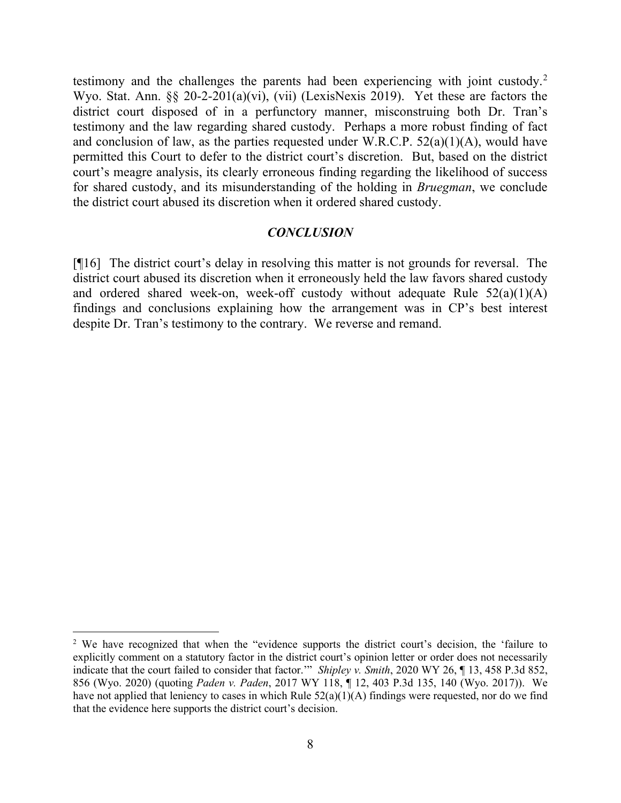testimony and the challenges the parents had been experiencing with joint custody.<sup>[2](#page-8-0)</sup> Wyo. Stat. Ann. §§ 20-2-201(a)(vi), (vii) (LexisNexis 2019). Yet these are factors the district court disposed of in a perfunctory manner, misconstruing both Dr. Tran's testimony and the law regarding shared custody. Perhaps a more robust finding of fact and conclusion of law, as the parties requested under W.R.C.P.  $52(a)(1)(A)$ , would have permitted this Court to defer to the district court's discretion. But, based on the district court's meagre analysis, its clearly erroneous finding regarding the likelihood of success for shared custody, and its misunderstanding of the holding in *Bruegman*, we conclude the district court abused its discretion when it ordered shared custody.

#### *CONCLUSION*

[¶16] The district court's delay in resolving this matter is not grounds for reversal. The district court abused its discretion when it erroneously held the law favors shared custody and ordered shared week-on, week-off custody without adequate Rule  $52(a)(1)(A)$ findings and conclusions explaining how the arrangement was in CP's best interest despite Dr. Tran's testimony to the contrary. We reverse and remand.

<span id="page-8-0"></span><sup>&</sup>lt;sup>2</sup> We have recognized that when the "evidence supports the district court's decision, the 'failure to explicitly comment on a statutory factor in the district court's opinion letter or order does not necessarily indicate that the court failed to consider that factor.'" *Shipley v. Smith*, 2020 WY 26, ¶ 13, 458 P.3d 852, 856 (Wyo. 2020) (quoting *Paden v. Paden*, 2017 WY 118, ¶ 12, 403 P.3d 135, 140 (Wyo. 2017)). We have not applied that leniency to cases in which Rule 52(a)(1)(A) findings were requested, nor do we find that the evidence here supports the district court's decision.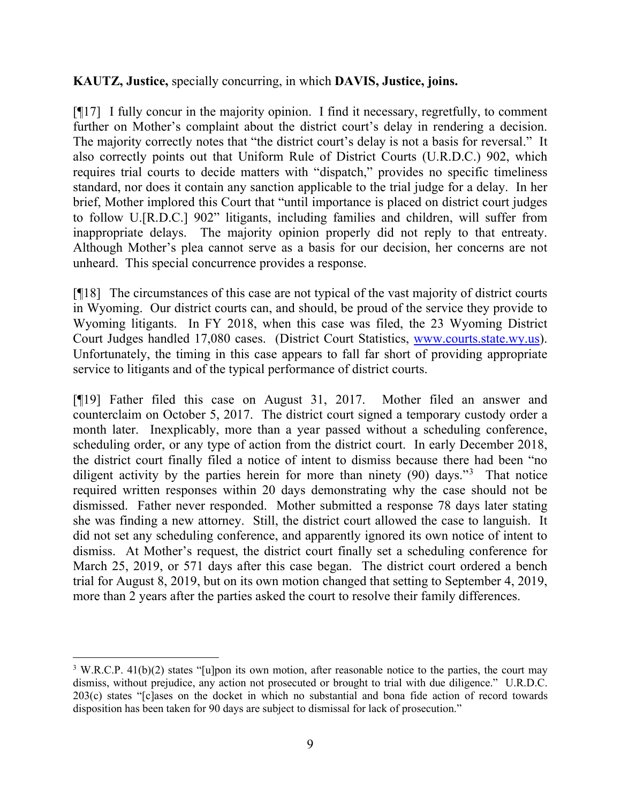#### **KAUTZ, Justice,** specially concurring, in which **DAVIS, Justice, joins.**

[¶17] I fully concur in the majority opinion. I find it necessary, regretfully, to comment further on Mother's complaint about the district court's delay in rendering a decision. The majority correctly notes that "the district court's delay is not a basis for reversal." It also correctly points out that Uniform Rule of District Courts (U.R.D.C.) 902, which requires trial courts to decide matters with "dispatch," provides no specific timeliness standard, nor does it contain any sanction applicable to the trial judge for a delay. In her brief, Mother implored this Court that "until importance is placed on district court judges to follow U.[R.D.C.] 902" litigants, including families and children, will suffer from inappropriate delays. The majority opinion properly did not reply to that entreaty. Although Mother's plea cannot serve as a basis for our decision, her concerns are not unheard. This special concurrence provides a response.

[¶18] The circumstances of this case are not typical of the vast majority of district courts in Wyoming. Our district courts can, and should, be proud of the service they provide to Wyoming litigants. In FY 2018, when this case was filed, the 23 Wyoming District Court Judges handled 17,080 cases. (District Court Statistics, [www.courts.state.wy.us\)](http://www.courts.state.wy.us/). Unfortunately, the timing in this case appears to fall far short of providing appropriate service to litigants and of the typical performance of district courts.

[¶19] Father filed this case on August 31, 2017. Mother filed an answer and counterclaim on October 5, 2017. The district court signed a temporary custody order a month later. Inexplicably, more than a year passed without a scheduling conference, scheduling order, or any type of action from the district court. In early December 2018, the district court finally filed a notice of intent to dismiss because there had been "no diligent activity by the parties herein for more than ninety (90) days."<sup>[3](#page-9-0)</sup> That notice required written responses within 20 days demonstrating why the case should not be dismissed. Father never responded. Mother submitted a response 78 days later stating she was finding a new attorney. Still, the district court allowed the case to languish. It did not set any scheduling conference, and apparently ignored its own notice of intent to dismiss. At Mother's request, the district court finally set a scheduling conference for March 25, 2019, or 571 days after this case began. The district court ordered a bench trial for August 8, 2019, but on its own motion changed that setting to September 4, 2019, more than 2 years after the parties asked the court to resolve their family differences.

<span id="page-9-0"></span><sup>&</sup>lt;sup>3</sup> W.R.C.P. 41(b)(2) states "[u]pon its own motion, after reasonable notice to the parties, the court may dismiss, without prejudice, any action not prosecuted or brought to trial with due diligence." U.R.D.C. 203(c) states "[c]ases on the docket in which no substantial and bona fide action of record towards disposition has been taken for 90 days are subject to dismissal for lack of prosecution."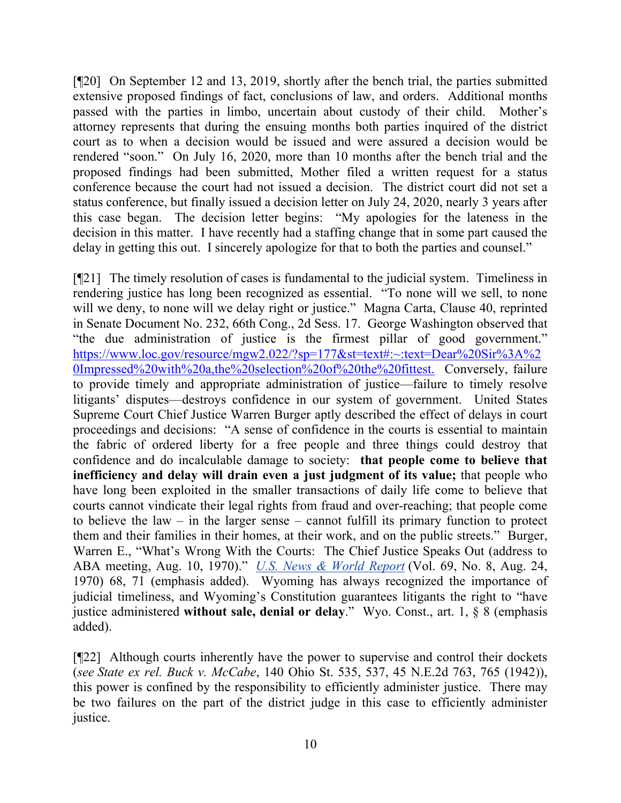[¶20] On September 12 and 13, 2019, shortly after the bench trial, the parties submitted extensive proposed findings of fact, conclusions of law, and orders. Additional months passed with the parties in limbo, uncertain about custody of their child. Mother's attorney represents that during the ensuing months both parties inquired of the district court as to when a decision would be issued and were assured a decision would be rendered "soon." On July 16, 2020, more than 10 months after the bench trial and the proposed findings had been submitted, Mother filed a written request for a status conference because the court had not issued a decision. The district court did not set a status conference, but finally issued a decision letter on July 24, 2020, nearly 3 years after this case began. The decision letter begins: "My apologies for the lateness in the decision in this matter. I have recently had a staffing change that in some part caused the delay in getting this out. I sincerely apologize for that to both the parties and counsel."

[¶21] The timely resolution of cases is fundamental to the judicial system. Timeliness in rendering justice has long been recognized as essential. "To none will we sell, to none will we deny, to none will we delay right or justice." Magna Carta, Clause 40, reprinted in Senate Document No. 232, 66th Cong., 2d Sess. 17. George Washington observed that "the due administration of justice is the firmest pillar of good government." [https://www.loc.gov/resource/mgw2.022/?sp=177&st=text#:~:text=Dear%20Sir%3A%2](https://www.loc.gov/resource/mgw2.022/?sp=177&st=text#:%7E:text=Dear%20Sir%3A%20Impressed%20with%20a,the%20selection%20of%20the%20fittest) [0Impressed%20with%20a,the%20selection%20of%20the%20fittest.](https://www.loc.gov/resource/mgw2.022/?sp=177&st=text#:%7E:text=Dear%20Sir%3A%20Impressed%20with%20a,the%20selection%20of%20the%20fittest) Conversely, failure to provide timely and appropriate administration of justice—failure to timely resolve litigants' disputes—destroys confidence in our system of government. United States Supreme Court Chief Justice Warren Burger aptly described the effect of delays in court proceedings and decisions: "A sense of confidence in the courts is essential to maintain the fabric of ordered liberty for a free people and three things could destroy that confidence and do incalculable damage to society: **that people come to believe that inefficiency and delay will drain even a just judgment of its value;** that people who have long been exploited in the smaller transactions of daily life come to believe that courts cannot vindicate their legal rights from fraud and over-reaching; that people come to believe the law – in the larger sense – cannot fulfill its primary function to protect them and their families in their homes, at their work, and on the public streets." Burger, Warren E., "What's Wrong With the Courts: The Chief Justice Speaks Out (address to ABA meeting, Aug. 10, 1970)." *[U.S. News & World Report](https://en.wikipedia.org/wiki/U.S._News_%26_World_Report)* (Vol. 69, No. 8, Aug. 24, 1970) 68, 71 (emphasis added). Wyoming has always recognized the importance of judicial timeliness, and Wyoming's Constitution guarantees litigants the right to "have justice administered **without sale, denial or delay**." Wyo. Const., art. 1, § 8 (emphasis added).

[¶22] Although courts inherently have the power to supervise and control their dockets (*see State ex rel. Buck v. McCabe*, 140 Ohio St. 535, 537, 45 N.E.2d 763, 765 (1942)), this power is confined by the responsibility to efficiently administer justice. There may be two failures on the part of the district judge in this case to efficiently administer justice.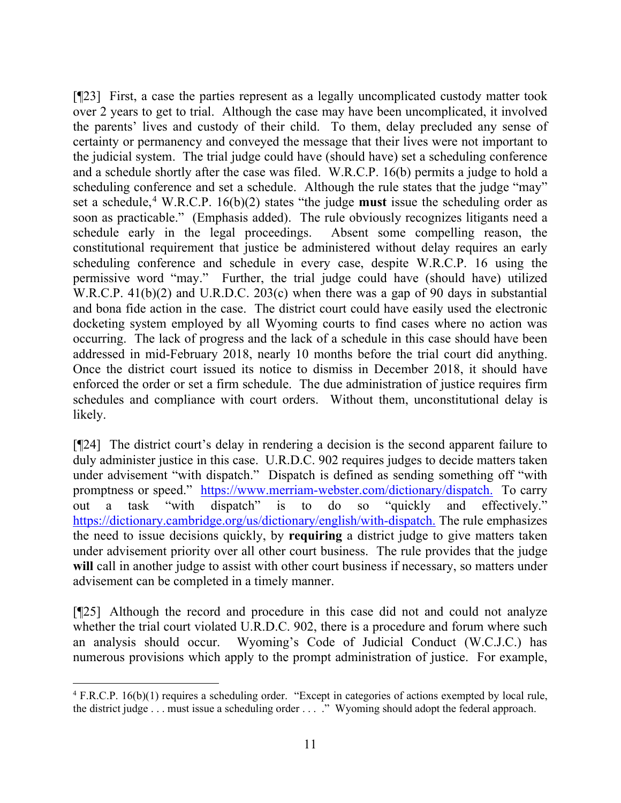[¶23] First, a case the parties represent as a legally uncomplicated custody matter took over 2 years to get to trial. Although the case may have been uncomplicated, it involved the parents' lives and custody of their child. To them, delay precluded any sense of certainty or permanency and conveyed the message that their lives were not important to the judicial system. The trial judge could have (should have) set a scheduling conference and a schedule shortly after the case was filed. W.R.C.P. 16(b) permits a judge to hold a scheduling conference and set a schedule. Although the rule states that the judge "may" set a schedule, [4](#page-11-0) W.R.C.P. 16(b)(2) states "the judge **must** issue the scheduling order as soon as practicable." (Emphasis added). The rule obviously recognizes litigants need a schedule early in the legal proceedings. Absent some compelling reason, the constitutional requirement that justice be administered without delay requires an early scheduling conference and schedule in every case, despite W.R.C.P. 16 using the permissive word "may." Further, the trial judge could have (should have) utilized W.R.C.P. 41(b)(2) and U.R.D.C. 203(c) when there was a gap of 90 days in substantial and bona fide action in the case. The district court could have easily used the electronic docketing system employed by all Wyoming courts to find cases where no action was occurring. The lack of progress and the lack of a schedule in this case should have been addressed in mid-February 2018, nearly 10 months before the trial court did anything. Once the district court issued its notice to dismiss in December 2018, it should have enforced the order or set a firm schedule. The due administration of justice requires firm schedules and compliance with court orders. Without them, unconstitutional delay is likely.

[¶24] The district court's delay in rendering a decision is the second apparent failure to duly administer justice in this case. U.R.D.C. 902 requires judges to decide matters taken under advisement "with dispatch." Dispatch is defined as sending something off "with promptness or speed." [https://www.merriam-webster.com/dictionary/dispatch.](https://www.merriam-webster.com/dictionary/dispatch) To carry out a task "with dispatch" is to do so "quickly and effectively." [https://dictionary.cambridge.org/us/dictionary/english/with-dispatch.](https://dictionary.cambridge.org/us/dictionary/english/with-dispatch) The rule emphasizes the need to issue decisions quickly, by **requiring** a district judge to give matters taken under advisement priority over all other court business. The rule provides that the judge will call in another judge to assist with other court business if necessary, so matters under advisement can be completed in a timely manner.

[¶25] Although the record and procedure in this case did not and could not analyze whether the trial court violated U.R.D.C. 902, there is a procedure and forum where such an analysis should occur. Wyoming's Code of Judicial Conduct (W.C.J.C.) has numerous provisions which apply to the prompt administration of justice. For example,

<span id="page-11-0"></span><sup>&</sup>lt;sup>4</sup> F.R.C.P. 16(b)(1) requires a scheduling order. "Except in categories of actions exempted by local rule, the district judge . . . must issue a scheduling order . . . ." Wyoming should adopt the federal approach.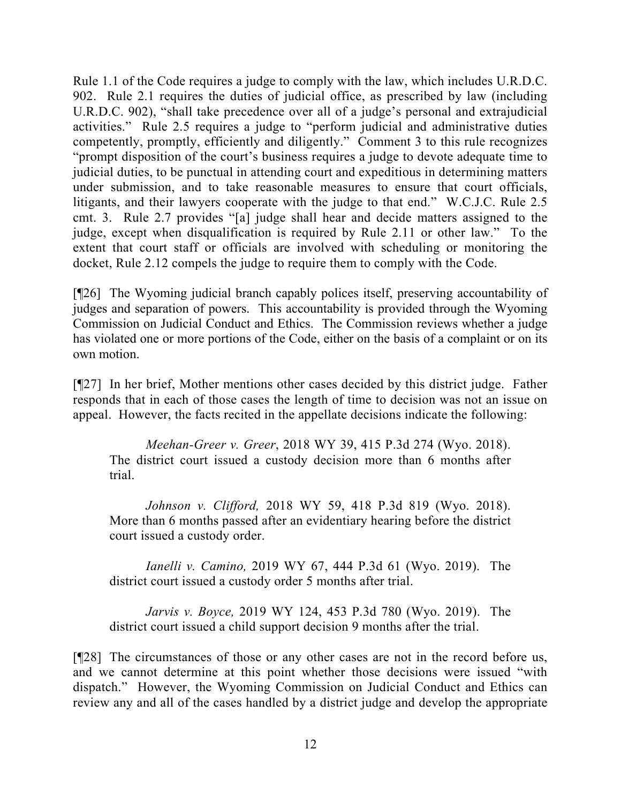Rule 1.1 of the Code requires a judge to comply with the law, which includes U.R.D.C. 902. Rule 2.1 requires the duties of judicial office, as prescribed by law (including U.R.D.C. 902), "shall take precedence over all of a judge's personal and extrajudicial activities." Rule 2.5 requires a judge to "perform judicial and administrative duties competently, promptly, efficiently and diligently." Comment 3 to this rule recognizes "prompt disposition of the court's business requires a judge to devote adequate time to judicial duties, to be punctual in attending court and expeditious in determining matters under submission, and to take reasonable measures to ensure that court officials, litigants, and their lawyers cooperate with the judge to that end." W.C.J.C. Rule 2.5 cmt. 3. Rule 2.7 provides "[a] judge shall hear and decide matters assigned to the judge, except when disqualification is required by Rule 2.11 or other law." To the extent that court staff or officials are involved with scheduling or monitoring the docket, Rule 2.12 compels the judge to require them to comply with the Code.

[¶26] The Wyoming judicial branch capably polices itself, preserving accountability of judges and separation of powers. This accountability is provided through the Wyoming Commission on Judicial Conduct and Ethics. The Commission reviews whether a judge has violated one or more portions of the Code, either on the basis of a complaint or on its own motion.

[¶27] In her brief, Mother mentions other cases decided by this district judge. Father responds that in each of those cases the length of time to decision was not an issue on appeal. However, the facts recited in the appellate decisions indicate the following:

*Meehan-Greer v. Greer*, 2018 WY 39, 415 P.3d 274 (Wyo. 2018). The district court issued a custody decision more than 6 months after trial.

*Johnson v. Clifford,* 2018 WY 59, 418 P.3d 819 (Wyo. 2018). More than 6 months passed after an evidentiary hearing before the district court issued a custody order.

*Ianelli v. Camino,* 2019 WY 67, 444 P.3d 61 (Wyo. 2019). The district court issued a custody order 5 months after trial.

*Jarvis v. Boyce,* 2019 WY 124, 453 P.3d 780 (Wyo. 2019). The district court issued a child support decision 9 months after the trial.

[¶28] The circumstances of those or any other cases are not in the record before us, and we cannot determine at this point whether those decisions were issued "with dispatch." However, the Wyoming Commission on Judicial Conduct and Ethics can review any and all of the cases handled by a district judge and develop the appropriate